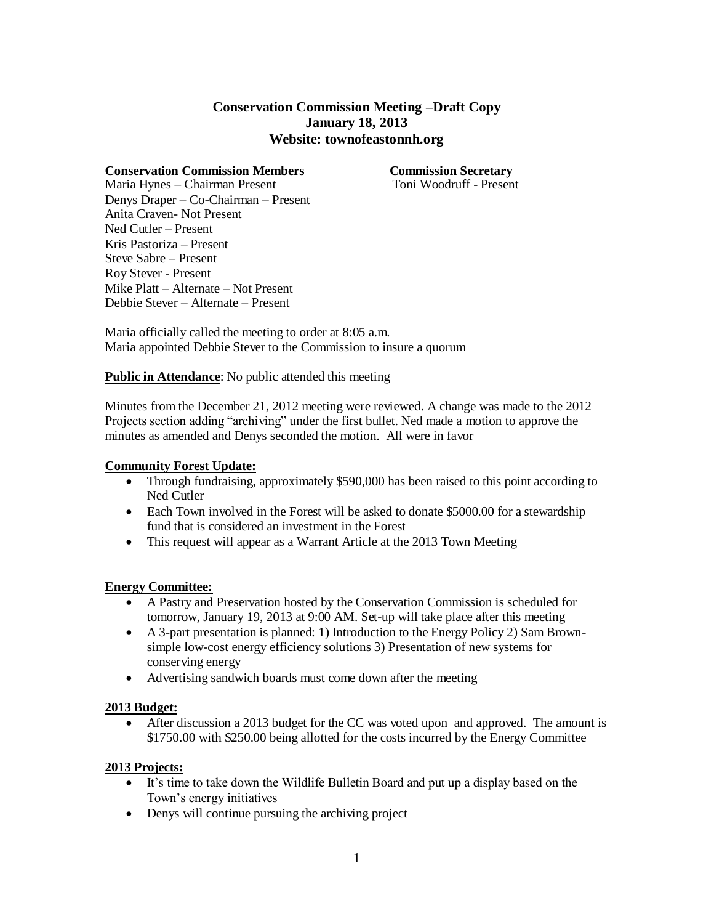# **Conservation Commission Meeting –Draft Copy January 18, 2013 Website: townofeastonnh.org**

**Conservation Commission Members** Commission Secretary<br>
Maria Hynes – Chairman Present Toni Woodruff - Present Maria Hynes – Chairman Present Denys Draper – Co-Chairman – Present Anita Craven- Not Present Ned Cutler – Present Kris Pastoriza – Present Steve Sabre – Present Roy Stever - Present Mike Platt – Alternate – Not Present Debbie Stever – Alternate – Present

Maria officially called the meeting to order at 8:05 a.m. Maria appointed Debbie Stever to the Commission to insure a quorum

# **Public in Attendance**: No public attended this meeting

Minutes from the December 21, 2012 meeting were reviewed. A change was made to the 2012 Projects section adding "archiving" under the first bullet. Ned made a motion to approve the minutes as amended and Denys seconded the motion. All were in favor

# **Community Forest Update:**

- Through fundraising, approximately \$590,000 has been raised to this point according to Ned Cutler
- Each Town involved in the Forest will be asked to donate \$5000.00 for a stewardship fund that is considered an investment in the Forest
- This request will appear as a Warrant Article at the 2013 Town Meeting

### **Energy Committee:**

- A Pastry and Preservation hosted by the Conservation Commission is scheduled for tomorrow, January 19, 2013 at 9:00 AM. Set-up will take place after this meeting
- A 3-part presentation is planned: 1) Introduction to the Energy Policy 2) Sam Brownsimple low-cost energy efficiency solutions 3) Presentation of new systems for conserving energy
- Advertising sandwich boards must come down after the meeting

### **2013 Budget:**

 After discussion a 2013 budget for the CC was voted upon and approved. The amount is \$1750.00 with \$250.00 being allotted for the costs incurred by the Energy Committee

### **2013 Projects:**

- It's time to take down the Wildlife Bulletin Board and put up a display based on the Town's energy initiatives
- Denys will continue pursuing the archiving project